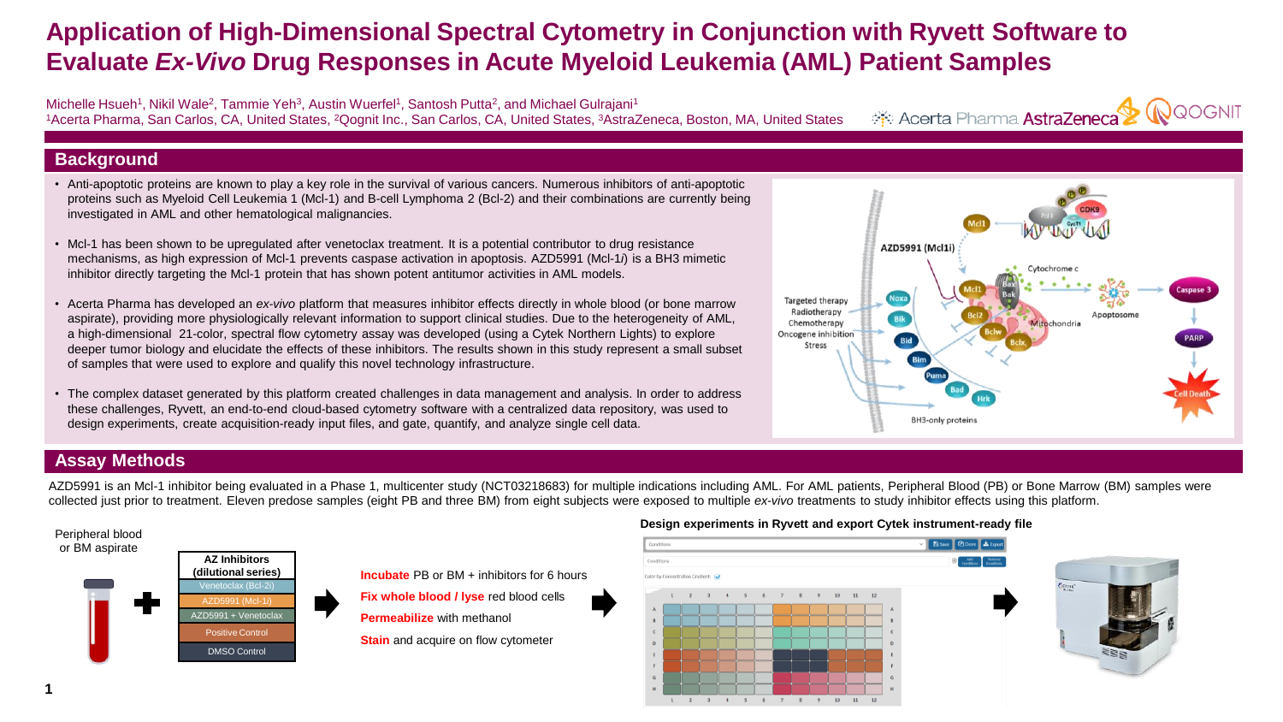# **Application of High-Dimensional Spectral Cytometry in Conjunction with Ryvett Software to Evaluate** *Ex-Vivo* **Drug Responses in Acute Myeloid Leukemia (AML) Patient Samples**

Michelle Hsueh<sup>1</sup>, Nikil Wale<sup>2</sup>, Tammie Yeh<sup>3</sup>, Austin Wuerfel<sup>1</sup>, Santosh Putta<sup>2</sup>, and Michael Gulrajani<sup>1</sup> <sup>1</sup>Acerta Pharma, San Carlos, CA, United States, <sup>2</sup>Qognit Inc., San Carlos, CA, United States, <sup>3</sup>AstraZeneca, Boston, MA, United States

**RQOGNIT** Acerta Pharma AstraZeneca

## **Background**

- Anti-apoptotic proteins are known to play a key role in the survival of various cancers. Numerous inhibitors of anti-apoptotic proteins such as Myeloid Cell Leukemia 1 (Mcl-1) and B-cell Lymphoma 2 (Bcl-2) and their combinations are currently being investigated in AML and other hematological malignancies.
- Mcl-1 has been shown to be upregulated after venetoclax treatment. It is a potential contributor to drug resistance mechanisms, as high expression of Mcl-1 prevents caspase activation in apoptosis. AZD5991 (Mcl-1*i*) is a BH3 mimetic inhibitor directly targeting the Mcl-1 protein that has shown potent antitumor activities in AML models.
- Acerta Pharma has developed an *ex-vivo* platform that measures inhibitor effects directly in whole blood (or bone marrow aspirate), providing more physiologically relevant information to support clinical studies. Due to the heterogeneity of AML, a high-dimensional 21-color, spectral flow cytometry assay was developed (using a Cytek Northern Lights) to explore deeper tumor biology and elucidate the effects of these inhibitors. The results shown in this study represent a small subset of samples that were used to explore and qualify this novel technology infrastructure.
- The complex dataset generated by this platform created challenges in data management and analysis. In order to address these challenges, Ryvett, an end-to-end cloud-based cytometry software with a centralized data repository, was used to design experiments, create acquisition-ready input files, and gate, quantify, and analyze single cell data.



# **Assay Methods**

AZD5991 is an Mcl-1 inhibitor being evaluated in a Phase 1, multicenter study (NCT03218683) for multiple indications including AML. For AML patients, Peripheral Blood (PB) or Bone Marrow (BM) samples were collected just prior to treatment. Eleven predose samples (eight PB and three BM) from eight subjects were exposed to multiple *ex-vivo* treatments to study inhibitor effects using this platform.

### Peripheral blood or BM aspirate



**Incubate** PB or BM + inhibitors for 6 hours

**Fix whole blood / lyse** red blood cells

**Permeabilize** with methanol

**Stain** and acquire on flow cytometer

### **Design experiments in Ryvett and export Cytek instrument-ready file**



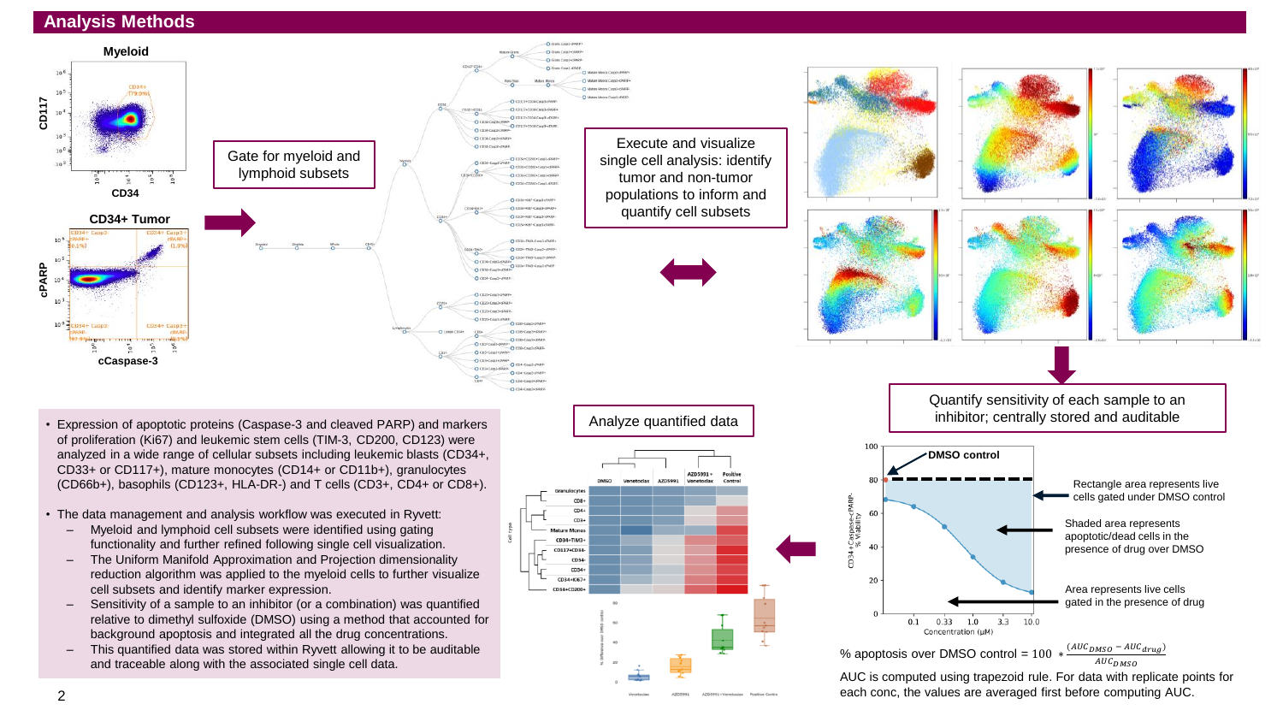# **Analysis Methods**





Execute and visualize

tumor and non-tumor

quantify cell subsets



AUC is computed using trapezoid rule. For data with replicate points for each conc, the values are averaged first before computing AUC.

- Expression of apoptotic proteins (Caspase-3 and cleaved PARP) and markers of proliferation (Ki67) and leukemic stem cells (TIM-3, CD200, CD123) were analyzed in a wide range of cellular subsets including leukemic blasts (CD34+, CD33+ or CD117+), mature monocytes (CD14+ or CD11b+), granulocytes (CD66b+), basophils (CD123+, HLA-DR-) and T cells (CD3+, CD4+ or CD8+).
- The data management and analysis workflow was executed in Ryvett:
	- Myeloid and lymphoid cell subsets were identified using gating functionality and further refined following single cell visualization.
	- The Uniform Manifold Approximation and Projection dimensionality reduction algorithm was applied to the myeloid cells to further visualize cell subsets and identify marker expression.
	- Sensitivity of a sample to an inhibitor (or a combination) was quantified relative to dimethyl sulfoxide (DMSO) using a method that accounted for background apoptosis and integrated all the drug concentrations.
	- This quantified data was stored within Ryvett allowing it to be auditable and traceable along with the associated single cell data.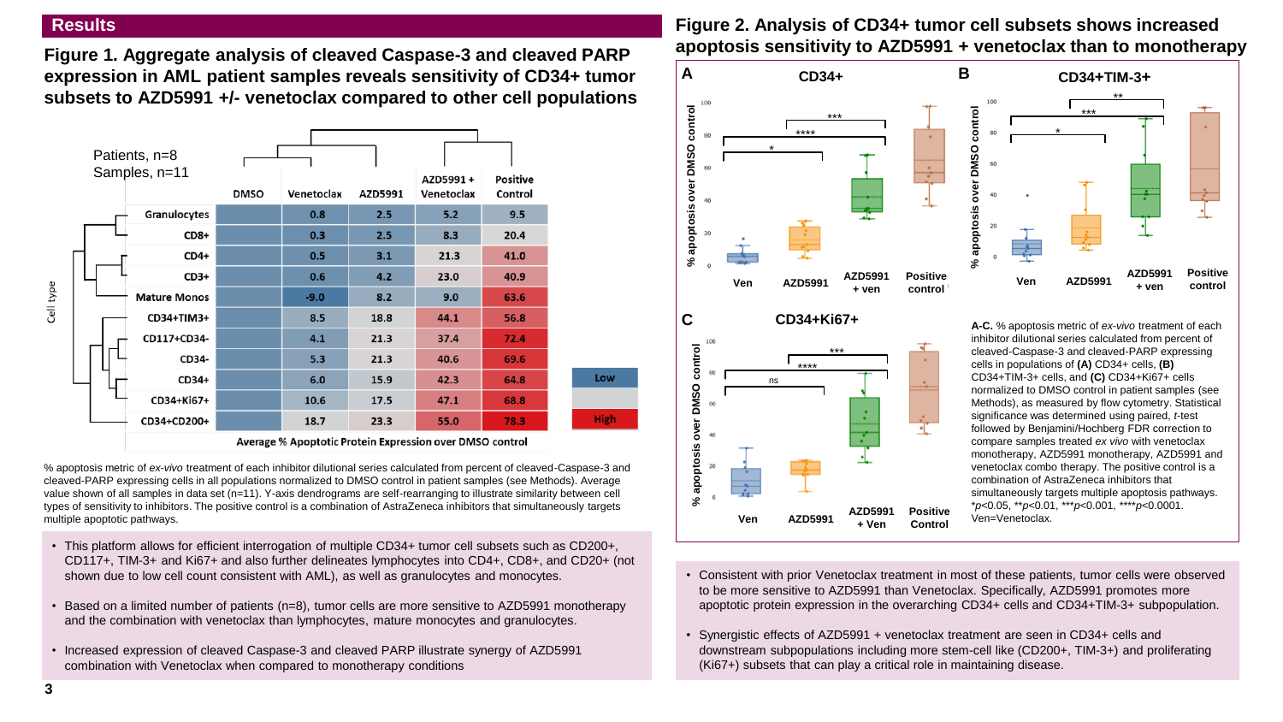### **Results**

**Figure 1. Aggregate analysis of cleaved Caspase-3 and cleaved PARP expression in AML patient samples reveals sensitivity of CD34+ tumor subsets to AZD5991 +/- venetoclax compared to other cell populations**



Average % Apoptotic Protein Expression over DMSO control

% apoptosis metric of *ex-vivo* treatment of each inhibitor dilutional series calculated from percent of cleaved-Caspase-3 and cleaved-PARP expressing cells in all populations normalized to DMSO control in patient samples (see Methods). Average value shown of all samples in data set (n=11). Y-axis dendrograms are self-rearranging to illustrate similarity between cell types of sensitivity to inhibitors. The positive control is a combination of AstraZeneca inhibitors that simultaneously targets multiple apoptotic pathways.

- This platform allows for efficient interrogation of multiple CD34+ tumor cell subsets such as CD200+, CD117+, TIM-3+ and Ki67+ and also further delineates lymphocytes into CD4+, CD8+, and CD20+ (not shown due to low cell count consistent with AML), as well as granulocytes and monocytes.
- Based on a limited number of patients (n=8), tumor cells are more sensitive to AZD5991 monotherapy and the combination with venetoclax than lymphocytes, mature monocytes and granulocytes.
- Increased expression of cleaved Caspase-3 and cleaved PARP illustrate synergy of AZD5991 combination with Venetoclax when compared to monotherapy conditions

# **Figure 2. Analysis of CD34+ tumor cell subsets shows increased apoptosis sensitivity to AZD5991 + venetoclax than to monotherapy**



- Consistent with prior Venetoclax treatment in most of these patients, tumor cells were observed to be more sensitive to AZD5991 than Venetoclax. Specifically, AZD5991 promotes more apoptotic protein expression in the overarching CD34+ cells and CD34+TIM-3+ subpopulation.
- Synergistic effects of AZD5991 + venetoclax treatment are seen in CD34+ cells and downstream subpopulations including more stem-cell like (CD200+, TIM-3+) and proliferating (Ki67+) subsets that can play a critical role in maintaining disease.